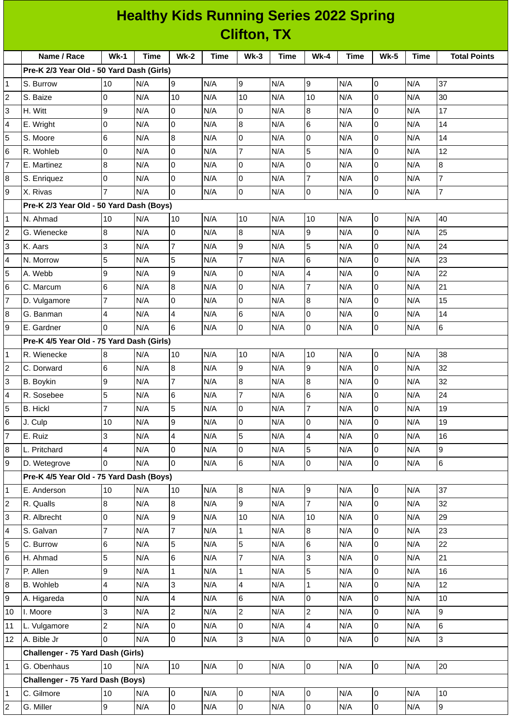|                | <b>Healthy Kids Running Series 2022 Spring</b> |                          |      |                         |      |                |      |                 |      |                |             |                     |
|----------------|------------------------------------------------|--------------------------|------|-------------------------|------|----------------|------|-----------------|------|----------------|-------------|---------------------|
|                | <b>Clifton, TX</b>                             |                          |      |                         |      |                |      |                 |      |                |             |                     |
|                | Name / Race                                    | $Wk-1$                   | Time | <b>Wk-2</b>             | Time | $Wk-3$         | Time | <b>Wk-4</b>     | Time | <b>Wk-5</b>    | <b>Time</b> | <b>Total Points</b> |
|                | Pre-K 2/3 Year Old - 50 Yard Dash (Girls)      |                          |      |                         |      |                |      |                 |      |                |             |                     |
| $\mathbf{1}$   | S. Burrow                                      | 10                       | N/A  | 9                       | N/A  | 9              | N/A  | 9               | N/A  | 0              | N/A         | 37                  |
| $\overline{c}$ | S. Baize                                       | 0                        | N/A  | 10                      | N/A  | 10             | N/A  | 10              | N/A  | lo             | N/A         | 30                  |
| 3              | H. Witt                                        | 9                        | N/A  | $\overline{0}$          | N/A  | 0              | N/A  | 8               | N/A  | l0             | N/A         | 17                  |
| 4              | E. Wright                                      | 0                        | N/A  | l0                      | N/A  | 8              | N/A  | 6               | N/A  | 0              | N/A         | 14                  |
| 5              | S. Moore                                       | 6                        | N/A  | 8                       | N/A  | 0              | N/A  | O               | N/A  | l0             | N/A         | 14                  |
| 6              | R. Wohleb                                      | O                        | N/A  | lo.                     | N/A  | $\overline{7}$ | N/A  | 5               | N/A  | 0              | N/A         | 12                  |
| $\overline{7}$ | E. Martinez                                    | 8                        | N/A  | 0                       | N/A  | 0              | N/A  | 0               | N/A  | $\overline{0}$ | N/A         | 8                   |
| 8              | S. Enriquez                                    | 0                        | N/A  | $\overline{0}$          | N/A  | 0              | N/A  | $\overline{7}$  | N/A  | l0             | N/A         | $\overline{7}$      |
| 9              | X. Rivas                                       | $\overline{7}$           | N/A  | 0                       | N/A  | 0              | N/A  | l0              | N/A  | 0              | N/A         | $\overline{7}$      |
|                | Pre-K 2/3 Year Old - 50 Yard Dash (Boys)       |                          |      |                         |      |                |      |                 |      |                |             |                     |
| $\mathbf{1}$   | N. Ahmad                                       | 10                       | N/A  | 10                      | N/A  | 10             | N/A  | 10              | N/A  | 0              | N/A         | 40                  |
| 2              | G. Wienecke                                    | 8                        | N/A  | 0                       | N/A  | 8              | N/A  | 9               | N/A  | 0              | N/A         | 25                  |
| 3              | K. Aars                                        | 3                        | N/A  | $\overline{7}$          | N/A  | 9              | N/A  | 5               | N/A  | lo             | N/A         | 24                  |
| 4              | N. Morrow                                      | 5                        | N/A  | 5                       | N/A  | $\overline{7}$ | N/A  | 6               | N/A  | l0             | N/A         | 23                  |
| 5              | A. Webb                                        | 9                        | N/A  | 9                       | N/A  | 0              | N/A  | 4               | N/A  | 0              | N/A         | 22                  |
| 6              | C. Marcum                                      | $6\phantom{.}6$          | N/A  | $\overline{8}$          | N/A  | 0              | N/A  | $\overline{7}$  | N/A  | l0             | N/A         | 21                  |
| $\overline{7}$ | D. Vulgamore                                   | $\overline{7}$           | N/A  | 0                       | N/A  | 0              | N/A  | 8               | N/A  | 0              | N/A         | 15                  |
| 8              | G. Banman                                      | 4                        | N/A  | 4                       | N/A  | 6              | N/A  | $\overline{0}$  | N/A  | $\mathsf 0$    | N/A         | 14                  |
| 9              | E. Gardner                                     | I0                       | N/A  | 6                       | N/A  | 0              | N/A  | l0              | N/A  | 0              | N/A         | 6                   |
|                | Pre-K 4/5 Year Old - 75 Yard Dash (Girls)      |                          |      |                         |      |                |      |                 |      |                |             |                     |
| $\mathbf{1}$   | R. Wienecke                                    | 8                        | N/A  | 10                      | N/A  | 10             | N/A  | 10              | N/A  | $\overline{0}$ | N/A         | 38                  |
| $\overline{c}$ | C. Dorward                                     | $6\phantom{.}6$          | N/A  | 8                       | N/A  | 9              | N/A  | 9               | N/A  | 0              | N/A         | 32                  |
| 3              | B. Boykin                                      | 9                        | N/A  | 7                       | N/A  | 8              | N/A  | 8               | N/A  | $\overline{0}$ | N/A         | 32                  |
| 4              | R. Sosebee                                     | 5                        | N/A  | $\,6$                   | N/A  | $\overline{7}$ | N/A  | $6\phantom{.}6$ | N/A  | l0             | N/A         | 24                  |
| 5              | <b>B.</b> Hickl                                | 7                        | N/A  | 5                       | N/A  | 0              | N/A  | $\overline{7}$  | N/A  | 0              | N/A         | 19                  |
| 6              | J. Culp                                        | 10                       | N/A  | 9                       | N/A  | 0              | N/A  | 0               | N/A  | 0              | N/A         | 19                  |
| $\overline{7}$ | E. Ruiz                                        | 3                        | N/A  | $\overline{\mathbf{4}}$ | N/A  | 5              | N/A  | 4               | N/A  | $\overline{0}$ | N/A         | 16                  |
| 8              | L. Pritchard                                   | 4                        | N/A  | $\pmb{0}$               | N/A  | 0              | N/A  | 5               | N/A  | $\mathsf 0$    | N/A         | $\overline{9}$      |
| 9              | D. Wetegrove                                   | l0                       | N/A  | $\overline{0}$          | N/A  | 6              | N/A  | 0               | N/A  | lo             | N/A         | 6                   |
|                | Pre-K 4/5 Year Old - 75 Yard Dash (Boys)       |                          |      |                         |      |                |      |                 |      |                |             |                     |
| 1              | E. Anderson                                    | 10                       | N/A  | 10                      | N/A  | 8              | N/A  | 9               | N/A  | $\overline{0}$ | N/A         | 37                  |
| $\overline{c}$ | R. Qualls                                      | $\bf{8}$                 | N/A  | 8                       | N/A  | 9              | N/A  | $\overline{7}$  | N/A  | lo             | N/A         | 32                  |
| 3              | R. Albrecht                                    | 0                        | N/A  | 9                       | N/A  | 10             | N/A  | 10              | N/A  | 0              | N/A         | 29                  |
| 4              | S. Galvan                                      | $\overline{7}$           | N/A  | 7                       | N/A  | $\mathbf{1}$   | N/A  | 8               | N/A  | 0              | N/A         | 23                  |
| 5              | C. Burrow                                      | 6                        | N/A  | 5                       | N/A  | 5              | N/A  | 6               | N/A  | $\overline{0}$ | N/A         | 22                  |
| 6              | H. Ahmad                                       | 5                        | N/A  | $\,6$                   | N/A  | 7              | N/A  | 3               | N/A  | $\overline{0}$ | N/A         | 21                  |
| $\overline{7}$ | P. Allen                                       | 9                        | N/A  | $\mathbf{1}$            | N/A  | $\mathbf{1}$   | N/A  | 5               | N/A  | $\overline{0}$ | N/A         | 16                  |
| 8              | B. Wohleb                                      | $\overline{\mathcal{L}}$ | N/A  | 3                       | N/A  | 4              | N/A  | $\mathbf{1}$    | N/A  | $\mathsf{O}$   | N/A         | 12                  |
| 9              | A. Higareda                                    | $\mathsf 0$              | N/A  | 4                       | N/A  | 6              | N/A  | $\overline{0}$  | N/A  | 0              | N/A         | 10                  |
| 10             | I. Moore                                       | 3                        | N/A  | $\overline{c}$          | N/A  | $\overline{c}$ | N/A  | $\overline{c}$  | N/A  | $\mathsf 0$    | N/A         | 9                   |
| 11             | L. Vulgamore                                   | $\overline{c}$           | N/A  | 0                       | N/A  | 0              | N/A  | 4               | N/A  | $\mathsf{O}$   | N/A         | 6                   |
| 12             | A. Bible Jr                                    | O                        | N/A  | $\overline{0}$          | N/A  | 3              | N/A  | $\overline{0}$  | N/A  | $\overline{0}$ | N/A         | $\overline{3}$      |
|                | Challenger - 75 Yard Dash (Girls)              |                          |      |                         |      |                |      |                 |      |                |             |                     |
| $\mathbf{1}$   | G. Obenhaus                                    | 10                       | N/A  | 10                      | N/A  | $\overline{0}$ | N/A  | $\overline{0}$  | N/A  | l0             | N/A         | 20                  |
|                | Challenger - 75 Yard Dash (Boys)               |                          |      |                         |      |                |      |                 |      |                |             |                     |
| $\mathbf{1}$   | C. Gilmore                                     | 10                       | N/A  | $\mathsf 0$             | N/A  | 0              | N/A  | $\overline{0}$  | N/A  | 0              | N/A         | 10                  |
| $\overline{c}$ | G. Miller                                      | 9                        | N/A  | $\mathsf{O}\xspace$     | N/A  | 0              | N/A  | $\overline{0}$  | N/A  | $\overline{0}$ | N/A         | $\overline{9}$      |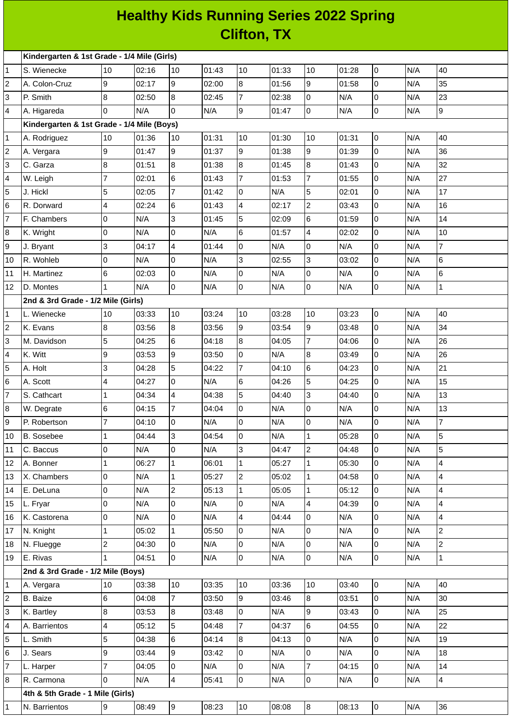## **Healthy Kids Running Series 2022 Spring Clifton, TX**

|                         | Kindergarten & 1st Grade - 1/4 Mile (Girls) |                |       |                         |       |                |       |                         |       |   |     |                |
|-------------------------|---------------------------------------------|----------------|-------|-------------------------|-------|----------------|-------|-------------------------|-------|---|-----|----------------|
| 1                       | S. Wienecke                                 | 10             | 02:16 | 10                      | 01:43 | 10             | 01:33 | 10                      | 01:28 | 0 | N/A | 40             |
| 2                       | A. Colon-Cruz                               | 9              | 02:17 | 9                       | 02:00 | 8              | 01:56 | $\overline{9}$          | 01:58 | 0 | N/A | 35             |
| 3                       | P. Smith                                    | 8              | 02:50 | $\overline{8}$          | 02:45 | $\overline{7}$ | 02:38 | 0                       | N/A   | 0 | N/A | 23             |
| 4                       | A. Higareda                                 | l0             | N/A   | 0                       | N/A   | 9              | 01:47 | 0                       | N/A   | 0 | N/A | 9              |
|                         | Kindergarten & 1st Grade - 1/4 Mile (Boys)  |                |       |                         |       |                |       |                         |       |   |     |                |
| 1                       | A. Rodriguez                                | 10             | 01:36 | 10                      | 01:31 | 10             | 01:30 | 10                      | 01:31 | 0 | N/A | 40             |
| $\overline{\mathbf{c}}$ | A. Vergara                                  | 9              | 01:47 | 9                       | 01:37 | 9              | 01:38 | $\overline{9}$          | 01:39 | 0 | N/A | 36             |
| 3                       | C. Garza                                    | 8              | 01:51 | $\overline{8}$          | 01:38 | 8              | 01:45 | 8                       | 01:43 | 0 | N/A | 32             |
| 4                       | W. Leigh                                    | 7              | 02:01 | 6                       | 01:43 | $\overline{7}$ | 01:53 | $\overline{7}$          | 01:55 | 0 | N/A | 27             |
| 5                       | J. Hickl                                    | 5              | 02:05 | $\overline{7}$          | 01:42 | 0              | N/A   | 5                       | 02:01 | 0 | N/A | 17             |
| 6                       | R. Dorward                                  | 4              | 02:24 | 6                       | 01:43 | 4              | 02:17 | $\overline{2}$          | 03:43 | 0 | N/A | 16             |
| 7                       | F. Chambers                                 | $\overline{0}$ | N/A   | 3                       | 01:45 | 5              | 02:09 | 6                       | 01:59 | 0 | N/A | 14             |
| 8                       | K. Wright                                   | $\overline{0}$ | N/A   | lo                      | N/A   | $6\phantom{a}$ | 01:57 | $\overline{\mathbf{4}}$ | 02:02 | 0 | N/A | 10             |
| 9                       | J. Bryant                                   | 3              | 04:17 | $\overline{\mathbf{4}}$ | 01:44 | $\overline{0}$ | N/A   | 0                       | N/A   | 0 | N/A | $\overline{7}$ |
| 10                      | R. Wohleb                                   | 0              | N/A   | 0                       | N/A   | 3              | 02:55 | 3                       | 03:02 | 0 | N/A | 6              |
| 11                      | H. Martinez                                 | 6              | 02:03 | l0                      | N/A   | $\overline{0}$ | N/A   | $\pmb{0}$               | N/A   | 0 | N/A | 6              |
| 12                      | D. Montes                                   | $\mathbf{1}$   | N/A   | lo.                     | N/A   | $\overline{0}$ | N/A   | l0                      | N/A   | 0 | N/A | $\mathbf{1}$   |
|                         | 2nd & 3rd Grade - 1/2 Mile (Girls)          |                |       |                         |       |                |       |                         |       |   |     |                |
| 1                       | L. Wienecke                                 | 10             | 03:33 | 10                      | 03:24 | 10             | 03:28 | 10                      | 03:23 | 0 | N/A | 40             |
| $\overline{c}$          | K. Evans                                    | 8              | 03:56 | 8                       | 03:56 | 9              | 03:54 | 9                       | 03:48 | 0 | N/A | 34             |
| 3                       | M. Davidson                                 | 5              | 04:25 | 6                       | 04:18 | 8              | 04:05 | $\overline{7}$          | 04:06 | 0 | N/A | 26             |
| 4                       | K. Witt                                     | 9              | 03:53 | 9                       | 03:50 | 0              | N/A   | 8                       | 03:49 | 0 | N/A | 26             |
| 5                       | A. Holt                                     | 3              | 04:28 | 5                       | 04:22 | $\overline{7}$ | 04:10 | 6                       | 04:23 | 0 | N/A | 21             |
| 6                       | A. Scott                                    | 4              | 04:27 | l0                      | N/A   | 6              | 04:26 | 5                       | 04:25 | 0 | N/A | 15             |
| 7                       | S. Cathcart                                 | $\mathbf{1}$   | 04:34 | $\overline{4}$          | 04:38 | 5              | 04:40 | 3                       | 04:40 | 0 | N/A | 13             |
| 8                       | W. Degrate                                  | 6              | 04:15 | $\overline{7}$          | 04:04 | 0              | N/A   | $\overline{0}$          | N/A   | 0 | N/A | 13             |
| 9                       | P. Robertson                                | $\overline{7}$ | 04:10 | l0                      | N/A   | 0              | N/A   | 0                       | N/A   | 0 | N/A | $\overline{7}$ |
| 10                      | B. Sosebee                                  | $\mathbf{1}$   | 04:44 | 3                       | 04:54 | 0              | N/A   | 1                       | 05:28 | 0 | N/A | 5              |
| 11                      | C. Baccus                                   | 0              | N/A   | $\overline{0}$          | N/A   | 3              | 04:47 | $\overline{2}$          | 04:48 | 0 | N/A | 5              |
| 12                      | A. Bonner                                   | $\mathbf{1}$   | 06:27 | $\mathbf{1}$            | 06:01 | $\mathbf{1}$   | 05:27 | $\mathbf{1}$            | 05:30 | 0 | N/A | $\overline{4}$ |
| 13                      | X. Chambers                                 | 0              | N/A   | $\mathbf{1}$            | 05:27 | $\overline{2}$ | 05:02 | 1                       | 04:58 | 0 | N/A | $\overline{4}$ |
| 14                      | E. DeLuna                                   | $\overline{0}$ | N/A   | $\overline{c}$          | 05:13 | $\mathbf{1}$   | 05:05 | $\mathbf{1}$            | 05:12 | 0 | N/A | $\overline{4}$ |
| 15                      | L. Fryar                                    | 0              | N/A   | l0                      | N/A   | 0              | N/A   | 4                       | 04:39 | 0 | N/A | $\overline{4}$ |
| 16                      | K. Castorena                                | 0              | N/A   | 0                       | N/A   | 4              | 04:44 | 0                       | N/A   | 0 | N/A | $\overline{4}$ |
| 17                      | N. Knight                                   | $\mathbf{1}$   | 05:02 | $\mathbf{1}$            | 05:50 | 0              | N/A   | 0                       | N/A   | 0 | N/A | $\overline{2}$ |
| 18                      | N. Fluegge                                  | $\overline{c}$ | 04:30 | 0                       | N/A   | 0              | N/A   | 0                       | N/A   | 0 | N/A | $\overline{c}$ |
| 19                      | E. Rivas                                    | $\mathbf{1}$   | 04:51 | l0                      | N/A   | 0              | N/A   | $\overline{0}$          | N/A   | 0 | N/A | $\overline{1}$ |
|                         | 2nd & 3rd Grade - 1/2 Mile (Boys)           |                |       |                         |       |                |       |                         |       |   |     |                |
| 1                       | A. Vergara                                  | 10             | 03:38 | 10                      | 03:35 | 10             | 03:36 | 10                      | 03:40 | 0 | N/A | 40             |
| 2                       | <b>B.</b> Baize                             | $\,6$          | 04:08 | $\overline{7}$          | 03:50 | $\overline{9}$ | 03:46 | 8                       | 03:51 | 0 | N/A | 30             |
| 3                       | K. Bartley                                  | 8              | 03:53 | 8                       | 03:48 | 0              | N/A   | 9                       | 03:43 | 0 | N/A | 25             |
| 4                       | A. Barrientos                               | 4              | 05:12 | 5                       | 04:48 | $\overline{7}$ | 04:37 | 6                       | 04:55 | 0 | N/A | 22             |
| 5                       | L. Smith                                    | 5              | 04:38 | 6                       | 04:14 | $8\,$          | 04:13 | 0                       | N/A   | 0 | N/A | 19             |
| 6                       | J. Sears                                    | 9              | 03:44 | 9                       | 03:42 | 0              | N/A   | $\overline{0}$          | N/A   | 0 | N/A | 18             |
| 7                       | L. Harper                                   | $\overline{7}$ | 04:05 | 0                       | N/A   | 0              | N/A   | $\overline{7}$          | 04:15 | 0 | N/A | 14             |
| 8                       | R. Carmona                                  | $\overline{0}$ | N/A   | $\overline{4}$          | 05:41 | 0              | N/A   | $\overline{0}$          | N/A   | 0 | N/A | $\overline{4}$ |
|                         | 4th & 5th Grade - 1 Mile (Girls)            |                |       |                         |       |                |       |                         |       |   |     |                |
| 1                       | N. Barrientos                               | 9              | 08:49 | 9                       | 08:23 | 10             | 08:08 | $\bf{8}$                | 08:13 | 0 | N/A | 36             |
|                         |                                             |                |       |                         |       |                |       |                         |       |   |     |                |